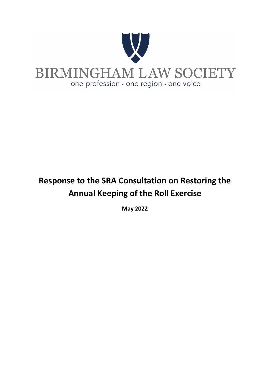

# **Response to the SRA Consultation on Restoring the Annual Keeping of the Roll Exercise**

**May 2022**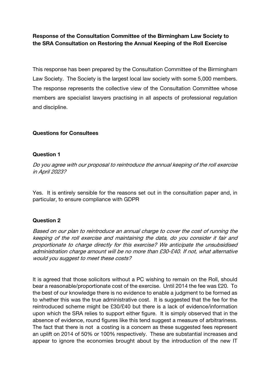Response of the Consultation Committee of the Birmingham Law Society to the SRA Consultation on Restoring the Annual Keeping of the Roll Exercise

This response has been prepared by the Consultation Committee of the Birmingham Law Society. The Society is the largest local law society with some 5,000 members. The response represents the collective view of the Consultation Committee whose members are specialist lawyers practising in all aspects of professional regulation and discipline.

#### Questions for Consultees

#### Question 1

Do you agree with our proposal to reintroduce the annual keeping of the roll exercise in April 2023?

Yes. It is entirely sensible for the reasons set out in the consultation paper and, in particular, to ensure compliance with GDPR

#### Question 2

Based on our plan to reintroduce an annual charge to cover the cost of running the keeping of the roll exercise and maintaining the data, do you consider it fair and proportionate to charge directly for this exercise? We anticipate the unsubsidised administration charge amount will be no more than £30-£40. If not, what alternative would you suggest to meet these costs?

It is agreed that those solicitors without a PC wishing to remain on the Roll, should bear a reasonable/proportionate cost of the exercise. Until 2014 the fee was £20. To the best of our knowledge there is no evidence to enable a judgment to be formed as to whether this was the true administrative cost. It is suggested that the fee for the reintroduced scheme might be £30/£40 but there is a lack of evidence/information upon which the SRA relies to support either figure. It is simply observed that in the absence of evidence, round figures like this tend suggest a measure of arbitrariness. The fact that there is not a costing is a concern as these suggested fees represent an uplift on 2014 of 50% or 100% respectively. These are substantial increases and appear to ignore the economies brought about by the introduction of the new IT